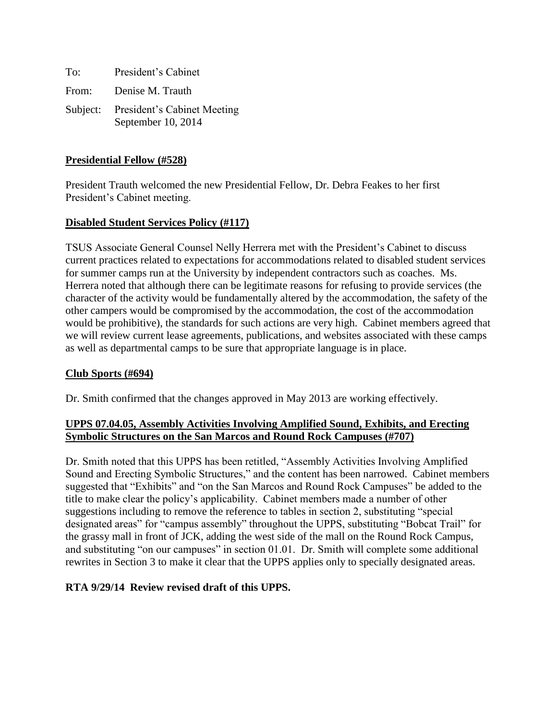To: President's Cabinet From: Denise M. Trauth Subject: President's Cabinet Meeting September 10, 2014

# **Presidential Fellow (#528)**

President Trauth welcomed the new Presidential Fellow, Dr. Debra Feakes to her first President's Cabinet meeting.

### **Disabled Student Services Policy (#117)**

TSUS Associate General Counsel Nelly Herrera met with the President's Cabinet to discuss current practices related to expectations for accommodations related to disabled student services for summer camps run at the University by independent contractors such as coaches. Ms. Herrera noted that although there can be legitimate reasons for refusing to provide services (the character of the activity would be fundamentally altered by the accommodation, the safety of the other campers would be compromised by the accommodation, the cost of the accommodation would be prohibitive), the standards for such actions are very high. Cabinet members agreed that we will review current lease agreements, publications, and websites associated with these camps as well as departmental camps to be sure that appropriate language is in place.

#### **Club Sports (#694)**

Dr. Smith confirmed that the changes approved in May 2013 are working effectively.

# **UPPS 07.04.05, Assembly Activities Involving Amplified Sound, Exhibits, and Erecting Symbolic Structures on the San Marcos and Round Rock Campuses (#707)**

Dr. Smith noted that this UPPS has been retitled, "Assembly Activities Involving Amplified Sound and Erecting Symbolic Structures," and the content has been narrowed. Cabinet members suggested that "Exhibits" and "on the San Marcos and Round Rock Campuses" be added to the title to make clear the policy's applicability. Cabinet members made a number of other suggestions including to remove the reference to tables in section 2, substituting "special designated areas" for "campus assembly" throughout the UPPS, substituting "Bobcat Trail" for the grassy mall in front of JCK, adding the west side of the mall on the Round Rock Campus, and substituting "on our campuses" in section 01.01. Dr. Smith will complete some additional rewrites in Section 3 to make it clear that the UPPS applies only to specially designated areas.

# **RTA 9/29/14 Review revised draft of this UPPS.**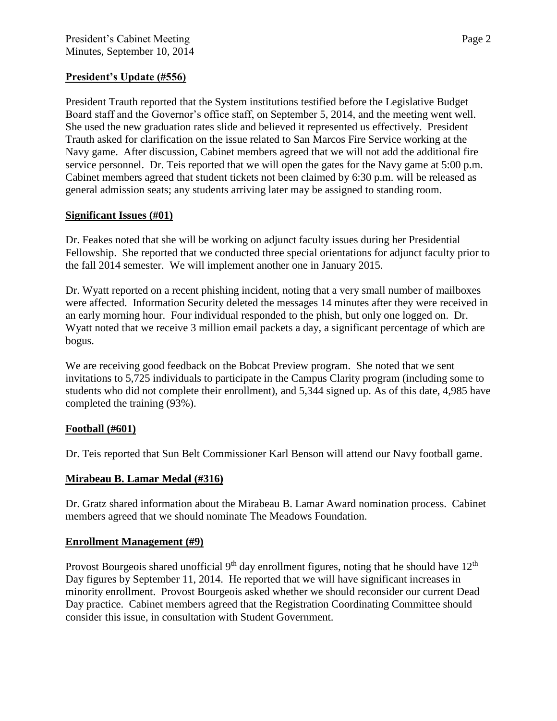# **President's Update (#556)**

President Trauth reported that the System institutions testified before the Legislative Budget Board staff and the Governor's office staff, on September 5, 2014, and the meeting went well. She used the new graduation rates slide and believed it represented us effectively. President Trauth asked for clarification on the issue related to San Marcos Fire Service working at the Navy game. After discussion, Cabinet members agreed that we will not add the additional fire service personnel. Dr. Teis reported that we will open the gates for the Navy game at 5:00 p.m. Cabinet members agreed that student tickets not been claimed by 6:30 p.m. will be released as general admission seats; any students arriving later may be assigned to standing room.

### **Significant Issues (#01)**

Dr. Feakes noted that she will be working on adjunct faculty issues during her Presidential Fellowship. She reported that we conducted three special orientations for adjunct faculty prior to the fall 2014 semester. We will implement another one in January 2015.

Dr. Wyatt reported on a recent phishing incident, noting that a very small number of mailboxes were affected. Information Security deleted the messages 14 minutes after they were received in an early morning hour. Four individual responded to the phish, but only one logged on. Dr. Wyatt noted that we receive 3 million email packets a day, a significant percentage of which are bogus.

We are receiving good feedback on the Bobcat Preview program. She noted that we sent invitations to 5,725 individuals to participate in the Campus Clarity program (including some to students who did not complete their enrollment), and 5,344 signed up. As of this date, 4,985 have completed the training (93%).

# **Football (#601)**

Dr. Teis reported that Sun Belt Commissioner Karl Benson will attend our Navy football game.

#### **Mirabeau B. Lamar Medal (#316)**

Dr. Gratz shared information about the Mirabeau B. Lamar Award nomination process. Cabinet members agreed that we should nominate The Meadows Foundation.

#### **Enrollment Management (#9)**

Provost Bourgeois shared unofficial  $9<sup>th</sup>$  day enrollment figures, noting that he should have  $12<sup>th</sup>$ Day figures by September 11, 2014. He reported that we will have significant increases in minority enrollment. Provost Bourgeois asked whether we should reconsider our current Dead Day practice. Cabinet members agreed that the Registration Coordinating Committee should consider this issue, in consultation with Student Government.